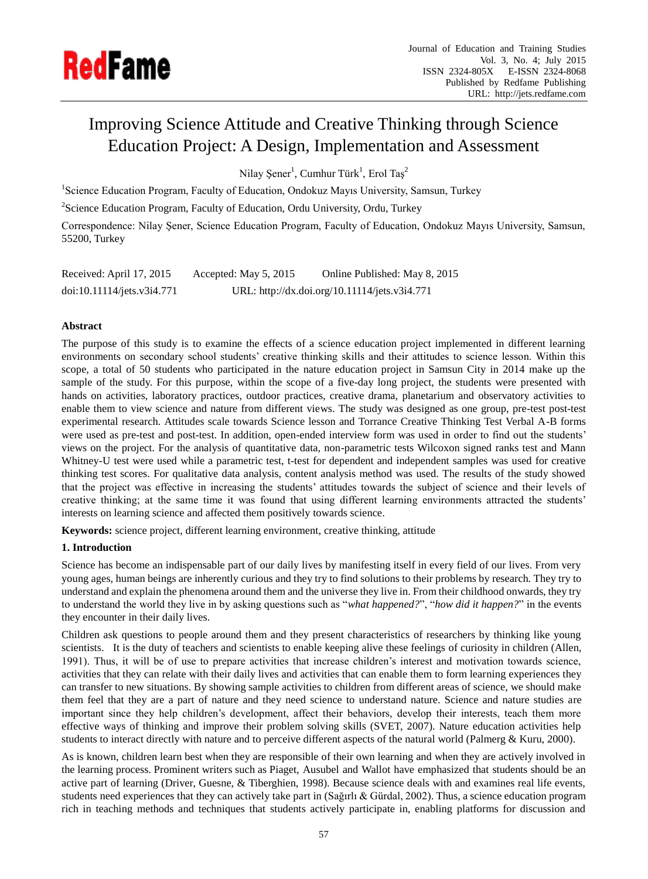

# Improving Science Attitude and Creative Thinking through Science Education Project: A Design, Implementation and Assessment

Nilay Şener<sup>1</sup>, Cumhur Türk<sup>1</sup>, Erol Taş<sup>2</sup>

<sup>1</sup>Science Education Program, Faculty of Education, Ondokuz Mayıs University, Samsun, Turkey

 $2$ Science Education Program, Faculty of Education, Ordu University, Ordu, Turkey

Correspondence: Nilay Şener, Science Education Program, Faculty of Education, Ondokuz Mayıs University, Samsun, 55200, Turkey

| Received: April 17, 2015   | Accepted: May 5, 2015 | Online Published: May 8, 2015                 |
|----------------------------|-----------------------|-----------------------------------------------|
| doi:10.11114/jets.v3i4.771 |                       | URL: http://dx.doi.org/10.11114/jets.v3i4.771 |

# **Abstract**

The purpose of this study is to examine the effects of a science education project implemented in different learning environments on secondary school students' creative thinking skills and their attitudes to science lesson. Within this scope, a total of 50 students who participated in the nature education project in Samsun City in 2014 make up the sample of the study. For this purpose, within the scope of a five-day long project, the students were presented with hands on activities, laboratory practices, outdoor practices, creative drama, planetarium and observatory activities to enable them to view science and nature from different views. The study was designed as one group, pre-test post-test experimental research. Attitudes scale towards Science lesson and Torrance Creative Thinking Test Verbal A-B forms were used as pre-test and post-test. In addition, open-ended interview form was used in order to find out the students' views on the project. For the analysis of quantitative data, non-parametric tests Wilcoxon signed ranks test and Mann Whitney-U test were used while a parametric test, t-test for dependent and independent samples was used for creative thinking test scores. For qualitative data analysis, content analysis method was used. The results of the study showed that the project was effective in increasing the students' attitudes towards the subject of science and their levels of creative thinking; at the same time it was found that using different learning environments attracted the students' interests on learning science and affected them positively towards science.

**Keywords:** science project, different learning environment, creative thinking, attitude

## **1. Introduction**

Science has become an indispensable part of our daily lives by manifesting itself in every field of our lives. From very young ages, human beings are inherently curious and they try to find solutions to their problems by research. They try to understand and explain the phenomena around them and the universe they live in. From their childhood onwards, they try to understand the world they live in by asking questions such as "*what happened?*", "*how did it happen?*" in the events they encounter in their daily lives.

Children ask questions to people around them and they present characteristics of researchers by thinking like young scientists. It is the duty of teachers and scientists to enable keeping alive these feelings of curiosity in children (Allen, 1991). Thus, it will be of use to prepare activities that increase children's interest and motivation towards science, activities that they can relate with their daily lives and activities that can enable them to form learning experiences they can transfer to new situations. By showing sample activities to children from different areas of science, we should make them feel that they are a part of nature and they need science to understand nature. Science and nature studies are important since they help children's development, affect their behaviors, develop their interests, teach them more effective ways of thinking and improve their problem solving skills (SVET, 2007). Nature education activities help students to interact directly with nature and to perceive different aspects of the natural world (Palmerg & Kuru, 2000).

As is known, children learn best when they are responsible of their own learning and when they are actively involved in the learning process. Prominent writers such as Piaget, Ausubel and Wallot have emphasized that students should be an active part of learning (Driver, Guesne, & Tiberghien, 1998). Because science deals with and examines real life events, students need experiences that they can actively take part in [\(Sağırlı & Gürdal, 2002\)](#page-10-0). Thus, a science education program rich in teaching methods and techniques that students actively participate in, enabling platforms for discussion and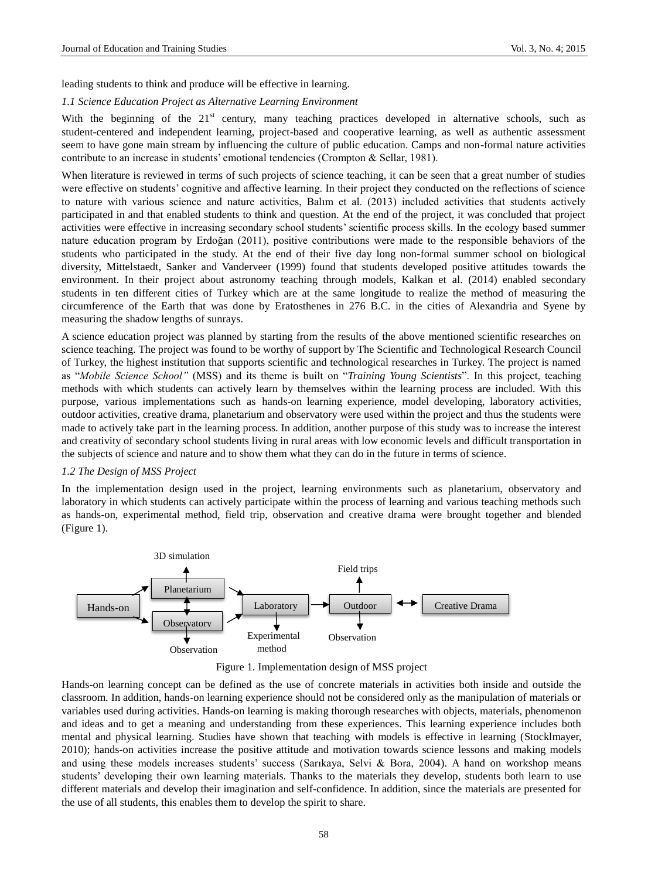leading students to think and produce will be effective in learning.

### *1.1 Science Education Project as Alternative Learning Environment*

With the beginning of the 21<sup>st</sup> century, many teaching practices developed in alternative schools, such as student-centered and independent learning, project-based and cooperative learning, as well as authentic assessment seem to have gone main stream by influencing the culture of public education. Camps and non-formal nature activities contribute to an increase in students' emotional tendencies (Crompton & Sellar, 1981).

When literature is reviewed in terms of such projects of science teaching, it can be seen that a great number of studies were effective on students' cognitive and affective learning. In their project they conducted on the reflections of science to nature with various science and nature activities, Balım et al. (2013) included activities that students actively participated in and that enabled students to think and question. At the end of the project, it was concluded that project activities were effective in increasing secondary school students' scientific process skills. In the ecology based summer nature education program by Erdoğan (2011), positive contributions were made to the responsible behaviors of the students who participated in the study. At the end of their five day long non-formal summer school on biological diversity, Mittelstaedt, Sanker and Vanderveer (1999) found that students developed positive attitudes towards the environment. In their project about astronomy teaching through models, Kalkan et al. (2014) enabled secondary students in ten different cities of Turkey which are at the same longitude to realize the method of measuring the circumference of the Earth that was done by Eratosthenes in 276 B.C. in the cities of Alexandria and Syene by measuring the shadow lengths of sunrays.

A science education project was planned by starting from the results of the above mentioned scientific researches on science teaching. The project was found to be worthy of support by The Scientific and Technological Research Council of Turkey, the highest institution that supports scientific and technological researches in Turkey. The project is named as "*Mobile Science School"* (MSS) and its theme is built on "*Training Young Scientists*". In this project, teaching methods with which students can actively learn by themselves within the learning process are included. With this purpose, various implementations such as hands-on learning experience, model developing, laboratory activities, outdoor activities, creative drama, planetarium and observatory were used within the project and thus the students were made to actively take part in the learning process. In addition, another purpose of this study was to increase the interest and creativity of secondary school students living in rural areas with low economic levels and difficult transportation in the subjects of science and nature and to show them what they can do in the future in terms of science.

## *1.2 The Design of MSS Project*

In the implementation design used in the project, learning environments such as planetarium, observatory and laboratory in which students can actively participate within the process of learning and various teaching methods such as hands-on, experimental method, field trip, observation and creative drama were brought together and blended (Figure 1).



Figure 1. Implementation design of MSS project

Hands-on learning concept can be defined as the use of concrete materials in activities both inside and outside the classroom. In addition, hands-on learning experience should not be considered only as the manipulation of materials or variables used during activities. Hands-on learning is making thorough researches with objects, materials, phenomenon and ideas and to get a meaning and understanding from these experiences. This learning experience includes both mental and physical learning. Studies have shown that teaching with models is effective in learning [\(Stocklmayer,](#page-10-1)  [2010\)](#page-10-1); hands-on activities increase the positive attitude and motivation towards science lessons and making models and using these models increases students' success [\(Sarıkaya, Selvi & Bora, 2004\)](#page-10-2). A hand on workshop means students' developing their own learning materials. Thanks to the materials they develop, students both learn to use different materials and develop their imagination and self-confidence. In addition, since the materials are presented for the use of all students, this enables them to develop the spirit to share.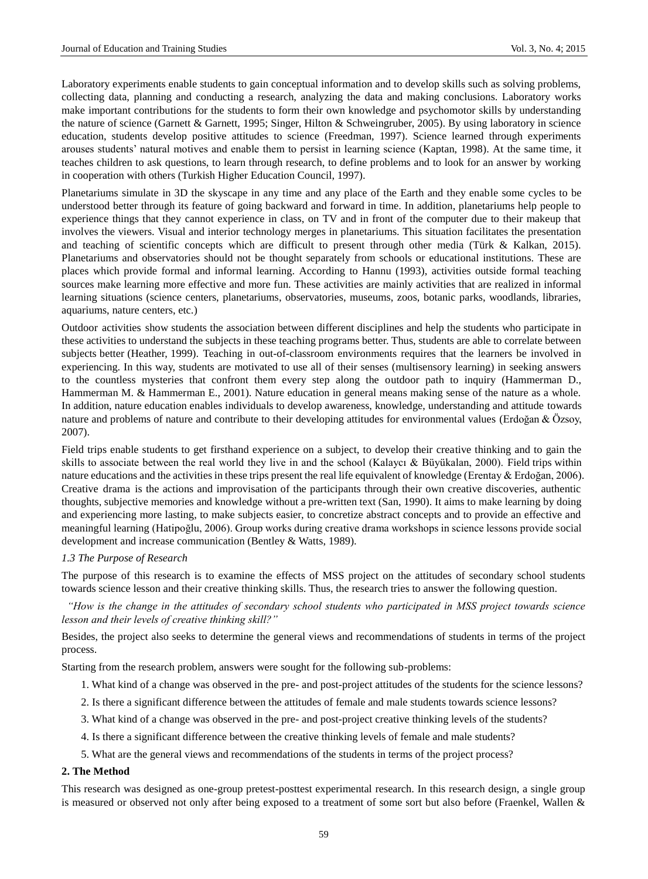Laboratory experiments enable students to gain conceptual information and to develop skills such as solving problems, collecting data, planning and conducting a research, analyzing the data and making conclusions. Laboratory works make important contributions for the students to form their own knowledge and psychomotor skills by understanding the nature of science (Garnett & Garnett, 1995; Singer, Hilton & Schweingruber, 2005). By using laboratory in science education, students develop positive attitudes to science (Freedman, 1997). Science learned through experiments arouses students' natural motives and enable them to persist in learning science [\(Kaptan, 1998\)](#page-10-3). At the same time, it teaches children to ask questions, to learn through research, to define problems and to look for an answer by working in cooperation with others (Turkish Higher Education Council, 1997).

Planetariums simulate in 3D the skyscape in any time and any place of the Earth and they enable some cycles to be understood better through its feature of going backward and forward in time. In addition, planetariums help people to experience things that they cannot experience in class, on TV and in front of the computer due to their makeup that involves the viewers. Visual and interior technology merges in planetariums. This situation facilitates the presentation and teaching of scientific concepts which are difficult to present through other media (Türk & Kalkan, 2015). Planetariums and observatories should not be thought separately from schools or educational institutions. These are places which provide formal and informal learning. According to Hannu (1993), activities outside formal teaching sources make learning more effective and more fun. These activities are mainly activities that are realized in informal learning situations (science centers, planetariums, observatories, museums, zoos, botanic parks, woodlands, libraries, aquariums, nature centers, etc.)

Outdoor activities show students the association between different disciplines and help the students who participate in these activities to understand the subjects in these teaching programs better. Thus, students are able to correlate between subjects better (Heather, 1999). Teaching in out-of-classroom environments requires that the learners be involved in experiencing. In this way, students are motivated to use all of their senses (multisensory learning) in seeking answers to the countless mysteries that confront them every step along the outdoor path to inquiry (Hammerman D., Hammerman M. & Hammerman E., 2001). Nature education in general means making sense of the nature as a whole. In addition, nature education enables individuals to develop awareness, knowledge, understanding and attitude towards nature and problems of nature and contribute to their developing attitudes for environmental values (Erdoğan & Özsoy, [2007\)](#page-9-0).

Field trips enable students to get firsthand experience on a subject, to develop their creative thinking and to gain the skills to associate between the real world they live in and the school (Kalaycı & Büyükalan, 2000). Field trips within nature educations and the activities in these trips present the real life equivalent of knowledge [\(Erentay & Erdoğan, 2006\)](#page-9-1). Creative drama is the actions and improvisation of the participants through their own creative discoveries, authentic thoughts, subjective memories and knowledge without a pre-written text (San, 1990). It aims to make learning by doing and experiencing more lasting, to make subjects easier, to concretize abstract concepts and to provide an effective and meaningful learning (Hatipoğlu, 2006). Group works during creative drama workshops in science lessons provide social development and increase communication (Bentley & Watts, 1989).

#### *1.3 The Purpose of Research*

The purpose of this research is to examine the effects of MSS project on the attitudes of secondary school students towards science lesson and their creative thinking skills. Thus, the research tries to answer the following question.

*"How is the change in the attitudes of secondary school students who participated in MSS project towards science lesson and their levels of creative thinking skill?"*

Besides, the project also seeks to determine the general views and recommendations of students in terms of the project process.

Starting from the research problem, answers were sought for the following sub-problems:

- 1. What kind of a change was observed in the pre- and post-project attitudes of the students for the science lessons?
- 2. Is there a significant difference between the attitudes of female and male students towards science lessons?
- 3. What kind of a change was observed in the pre- and post-project creative thinking levels of the students?
- 4. Is there a significant difference between the creative thinking levels of female and male students?
- 5. What are the general views and recommendations of the students in terms of the project process?

# **2. The Method**

This research was designed as one-group pretest-posttest experimental research. In this research design, a single group is measured or observed not only after being exposed to a treatment of some sort but also before (Fraenkel, Wallen &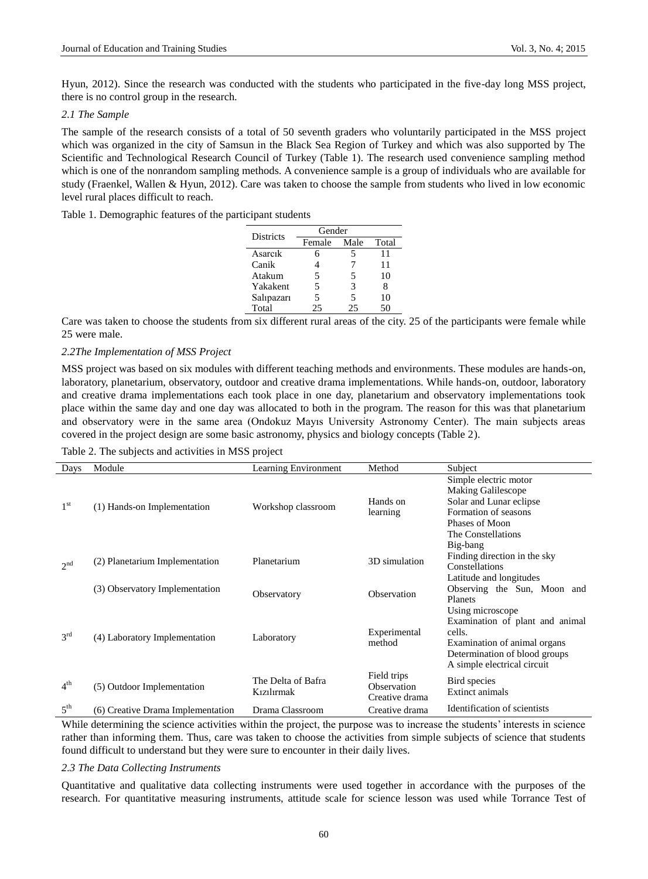Hyun, 2012). Since the research was conducted with the students who participated in the five-day long MSS project, there is no control group in the research.

#### *2.1 The Sample*

The sample of the research consists of a total of 50 seventh graders who voluntarily participated in the MSS project which was organized in the city of Samsun in the Black Sea Region of Turkey and which was also supported by The Scientific and Technological Research Council of Turkey (Table 1). The research used convenience sampling method which is one of the nonrandom sampling methods. A convenience sample is a group of individuals who are available for study (Fraenkel, Wallen & Hyun, 2012). Care was taken to choose the sample from students who lived in low economic level rural places difficult to reach.

Table 1. Demographic features of the participant students

| Districts  | Gender |      |       |
|------------|--------|------|-------|
|            | Female | Male | Total |
| Asarcik    | 6      |      | 11    |
| Canik      |        |      | 11    |
| Atakum     | 5      | 5    | 10    |
| Yakakent   | 5      | 3    | 8     |
| Salıpazarı | 5      | 5    | 10    |
| Total      | 25     | 25   | 50    |

Care was taken to choose the students from six different rural areas of the city. 25 of the participants were female while 25 were male.

## *2.2The Implementation of MSS Project*

MSS project was based on six modules with different teaching methods and environments. These modules are hands-on, laboratory, planetarium, observatory, outdoor and creative drama implementations. While hands-on, outdoor, laboratory and creative drama implementations each took place in one day, planetarium and observatory implementations took place within the same day and one day was allocated to both in the program. The reason for this was that planetarium and observatory were in the same area (Ondokuz Mayıs University Astronomy Center). The main subjects areas covered in the project design are some basic astronomy, physics and biology concepts (Table 2).

Table 2. The subjects and activities in MSS project

| Days            | Module                            | Learning Environment             | Method                                       | Subject                                                                                                                                                       |
|-----------------|-----------------------------------|----------------------------------|----------------------------------------------|---------------------------------------------------------------------------------------------------------------------------------------------------------------|
| 1 <sup>st</sup> | (1) Hands-on Implementation       | Workshop classroom               | Hands on<br>learning                         | Simple electric motor<br><b>Making Galilescope</b><br>Solar and Lunar eclipse<br>Formation of seasons<br>Phases of Moon<br>The Constellations                 |
| 2 <sup>nd</sup> | (2) Planetarium Implementation    | Planetarium                      | 3D simulation                                | Big-bang<br>Finding direction in the sky<br>Constellations<br>Latitude and longitudes                                                                         |
|                 | (3) Observatory Implementation    | Observatory                      | Observation                                  | Observing the Sun, Moon and<br>Planets                                                                                                                        |
| $3^{\text{rd}}$ | (4) Laboratory Implementation     | Laboratory                       | Experimental<br>method                       | Using microscope<br>Examination of plant and animal<br>cells.<br>Examination of animal organs<br>Determination of blood groups<br>A simple electrical circuit |
| 4 <sup>th</sup> | (5) Outdoor Implementation        | The Delta of Bafra<br>Kızılırmak | Field trips<br>Observation<br>Creative drama | Bird species<br><b>Extinct animals</b>                                                                                                                        |
| 5 <sup>th</sup> | (6) Creative Drama Implementation | Drama Classroom                  | Creative drama                               | Identification of scientists                                                                                                                                  |

While determining the science activities within the project, the purpose was to increase the students' interests in science rather than informing them. Thus, care was taken to choose the activities from simple subjects of science that students found difficult to understand but they were sure to encounter in their daily lives.

## *2.3 The Data Collecting Instruments*

Quantitative and qualitative data collecting instruments were used together in accordance with the purposes of the research. For quantitative measuring instruments, attitude scale for science lesson was used while Torrance Test of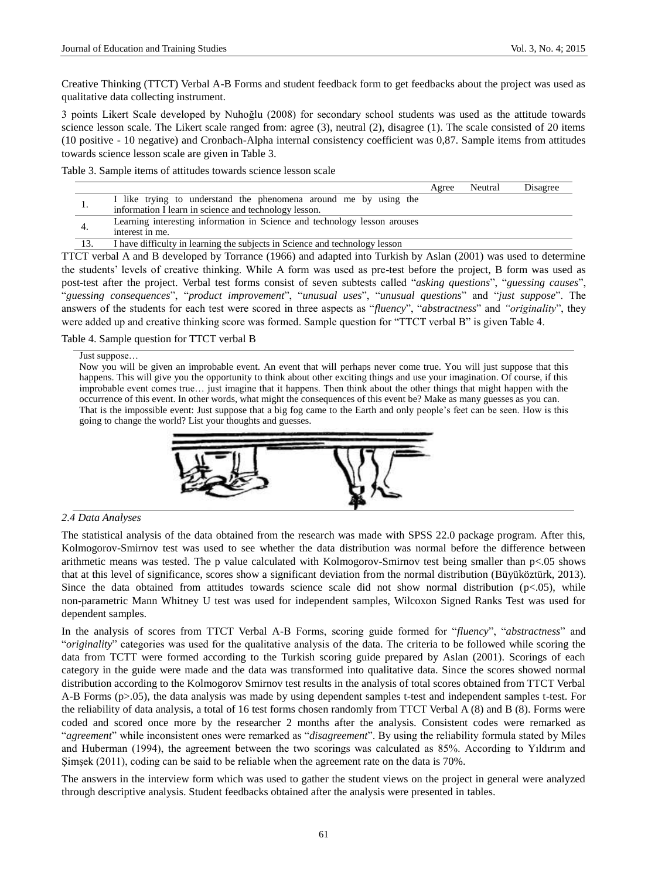Creative Thinking (TTCT) Verbal A-B Forms and student feedback form to get feedbacks about the project was used as qualitative data collecting instrument.

3 points Likert Scale developed by Nuhoğlu (2008) for secondary school students was used as the attitude towards science lesson scale. The Likert scale ranged from: agree (3), neutral (2), disagree (1). The scale consisted of 20 items (10 positive - 10 negative) and Cronbach-Alpha internal consistency coefficient was 0,87. Sample items from attitudes towards science lesson scale are given in Table 3.

Table 3. Sample items of attitudes towards science lesson scale

|     |                                                                                                                 | Agree | Neutral | Disagree |
|-----|-----------------------------------------------------------------------------------------------------------------|-------|---------|----------|
|     | I like trying to understand the phenomena around me by using the                                                |       |         |          |
| . . | information I learn in science and technology lesson.                                                           |       |         |          |
|     | Learning interesting information in Science and technology lesson arouses                                       |       |         |          |
| -4. | interest in me.                                                                                                 |       |         |          |
| 13. | I have difficulty in learning the subjects in Science and technology lesson                                     |       |         |          |
|     | TTCT verbal A and B developed by Torrance (1966) and adapted into Turkish by Aslan (2001) was used to determine |       |         |          |

the students' levels of creative thinking. While A form was used as pre-test before the project, B form was used as post-test after the project. Verbal test forms consist of seven subtests called "*asking questions*", "*guessing causes*", "*guessing consequences*", "*product improvement*", "*unusual uses*", "*unusual questions*" and "*just suppose*". The answers of the students for each test were scored in three aspects as "*fluency*", "*abstractness*" and *"originality*", they were added up and creative thinking score was formed. Sample question for "TTCT verbal B" is given Table 4.

Table 4. Sample question for TTCT verbal B

Just suppose…

Now you will be given an improbable event. An event that will perhaps never come true. You will just suppose that this happens. This will give you the opportunity to think about other exciting things and use your imagination. Of course, if this improbable event comes true… just imagine that it happens. Then think about the other things that might happen with the occurrence of this event. In other words, what might the consequences of this event be? Make as many guesses as you can. That is the impossible event: Just suppose that a big fog came to the Earth and only people's feet can be seen. How is this going to change the world? List your thoughts and guesses.



## *2.4 Data Analyses*

The statistical analysis of the data obtained from the research was made with SPSS 22.0 package program. After this, Kolmogorov-Smirnov test was used to see whether the data distribution was normal before the difference between arithmetic means was tested. The p value calculated with Kolmogorov-Smirnov test being smaller than p<.05 shows that at this level of significance, scores show a significant deviation from the normal distribution [\(Büyüköztürk, 2013\)](#page-9-2). Since the data obtained from attitudes towards science scale did not show normal distribution  $(p<0.05)$ , while non-parametric Mann Whitney U test was used for independent samples, Wilcoxon Signed Ranks Test was used for dependent samples.

In the analysis of scores from TTCT Verbal A-B Forms, scoring guide formed for "*fluency*", "*abstractness*" and "*originality*" categories was used for the qualitative analysis of the data. The criteria to be followed while scoring the data from TCTT were formed according to the Turkish scoring guide prepared by Aslan (2001). Scorings of each category in the guide were made and the data was transformed into qualitative data. Since the scores showed normal distribution according to the Kolmogorov Smirnov test results in the analysis of total scores obtained from TTCT Verbal A-B Forms (p>.05), the data analysis was made by using dependent samples t-test and independent samples t-test. For the reliability of data analysis, a total of 16 test forms chosen randomly from TTCT Verbal A (8) and B (8). Forms were coded and scored once more by the researcher 2 months after the analysis. Consistent codes were remarked as "*agreement*" while inconsistent ones were remarked as "*disagreement*". By using the reliability formula stated by Miles and Huberman (1994), the agreement between the two scorings was calculated as 85%. According to Yıldırım and Şimşek (2011), coding can be said to be reliable when the agreement rate on the data is 70%.

The answers in the interview form which was used to gather the student views on the project in general were analyzed through descriptive analysis. Student feedbacks obtained after the analysis were presented in tables.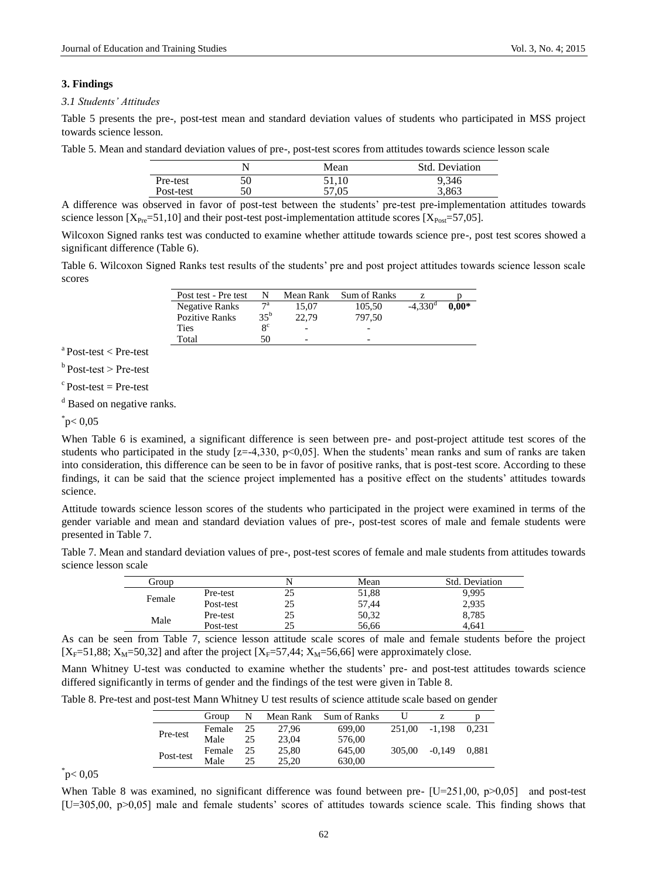## **3. Findings**

#### *3.1 Students' Attitudes*

Table 5 presents the pre-, post-test mean and standard deviation values of students who participated in MSS project towards science lesson.

Table 5. Mean and standard deviation values of pre-, post-test scores from attitudes towards science lesson scale

|           |    | Mean  | Std. Deviation |
|-----------|----|-------|----------------|
| Pre-test  | 50 | 51,10 | 9,346          |
| Post-test | 50 | 57,05 | 3,863          |

A difference was observed in favor of post-test between the students' pre-test pre-implementation attitudes towards science lesson  $[X_{Pre} = 51, 10]$  and their post-test post-implementation attitude scores  $[X_{Pos} = 57, 05]$ .

Wilcoxon Signed ranks test was conducted to examine whether attitude towards science pre-, post test scores showed a significant difference (Table 6).

Table 6. Wilcoxon Signed Ranks test results of the students' pre and post project attitudes towards science lesson scale scores

| Post test - Pre test  |             | Mean Rank                | Sum of Ranks |                       |         |
|-----------------------|-------------|--------------------------|--------------|-----------------------|---------|
| <b>Negative Ranks</b> | 7a          | 15.07                    | 105.50       | $-4.330$ <sup>d</sup> | $0.00*$ |
| Pozitive Ranks        | $35^{b}$    | 22.79                    | 797.50       |                       |         |
| Ties                  | $8^{\circ}$ | $\overline{\phantom{0}}$ |              |                       |         |
| Total                 | 50          | $\overline{\phantom{0}}$ | -            |                       |         |

 $a$  Post-test  $\lt$  Pre-test

 $b$  Post-test > Pre-test

 $c$ Post-test = Pre-test

<sup>d</sup> Based on negative ranks.

 $p$  < 0,05

When Table 6 is examined, a significant difference is seen between pre- and post-project attitude test scores of the students who participated in the study  $[z=-4,330, p<0,05]$ . When the students' mean ranks and sum of ranks are taken into consideration, this difference can be seen to be in favor of positive ranks, that is post-test score. According to these findings, it can be said that the science project implemented has a positive effect on the students' attitudes towards science.

Attitude towards science lesson scores of the students who participated in the project were examined in terms of the gender variable and mean and standard deviation values of pre-, post-test scores of male and female students were presented in Table 7.

Table 7. Mean and standard deviation values of pre-, post-test scores of female and male students from attitudes towards science lesson scale

| Group  |           |      | Mean  | Std. Deviation |
|--------|-----------|------|-------|----------------|
| Female | Pre-test  | رے   | 51,88 | 9.995          |
|        | Post-test | ل کے | 57.44 | 2,935          |
|        | Pre-test  | 25   | 50,32 | 8,785          |
| Male   | Post-test |      | 56.66 | 4.641          |

As can be seen from Table 7, science lesson attitude scale scores of male and female students before the project  $[X_F=51,88; X_M=50,32]$  and after the project  $[X_F=57,44; X_M=56,66]$  were approximately close.

Mann Whitney U-test was conducted to examine whether the students' pre- and post-test attitudes towards science differed significantly in terms of gender and the findings of the test were given in Table 8.

Table 8. Pre-test and post-test Mann Whitney U test results of science attitude scale based on gender

|           | Group               | N  | Mean Rank | Sum of Ranks |        |          |       |
|-----------|---------------------|----|-----------|--------------|--------|----------|-------|
| Pre-test  | Female              | 25 | 27.96     | 699.00       | 251.00 | $-1.198$ | 0.231 |
|           | 23.04<br>Male<br>25 |    | 576,00    |              |        |          |       |
| Post-test | Female              | 25 | 25,80     | 645.00       | 305,00 | $-0.149$ | 0.881 |
|           | Male                | 25 | 25.20     | 630,00       |        |          |       |

 $p$  < 0,05

When Table 8 was examined, no significant difference was found between pre-  $[U=251,00, p>0,05]$  and post-test [U=305,00, p>0,05] male and female students' scores of attitudes towards science scale. This finding shows that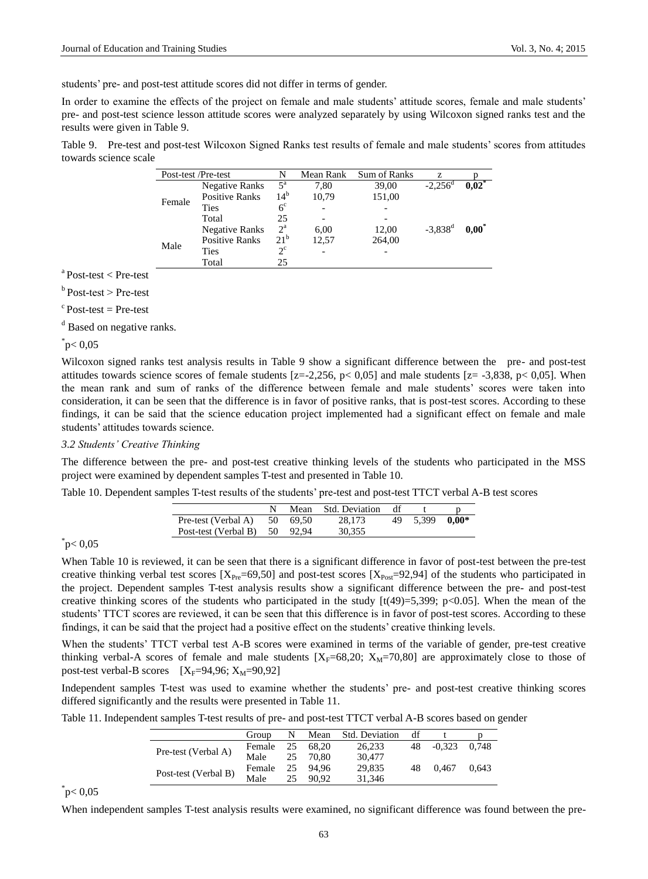students' pre- and post-test attitude scores did not differ in terms of gender.

In order to examine the effects of the project on female and male students' attitude scores, female and male students' pre- and post-test science lesson attitude scores were analyzed separately by using Wilcoxon signed ranks test and the results were given in Table 9.

Table 9. Pre-test and post-test Wilcoxon Signed Ranks test results of female and male students' scores from attitudes towards science scale

|        | Post-test /Pre-test   | N                | Mean Rank                | Sum of Ranks | Z                |          |
|--------|-----------------------|------------------|--------------------------|--------------|------------------|----------|
| Female | <b>Negative Ranks</b> | $5^{\mathrm{a}}$ | 7.80                     | 39,00        | $-2.256^{\circ}$ | $0.02^*$ |
|        | <b>Positive Ranks</b> | $14^{b}$         | 10,79                    | 151,00       |                  |          |
|        | Ties                  | 6 <sup>c</sup>   |                          |              |                  |          |
|        | Total                 | 25               |                          |              |                  |          |
|        | <b>Negative Ranks</b> | $2^{\mathrm{a}}$ | 6,00                     | 12,00        | $-3,838^d$       | $0.00^*$ |
| Male   | <b>Positive Ranks</b> | 21 <sup>b</sup>  | 12,57                    | 264,00       |                  |          |
|        | Ties                  | $2^{\circ}$      | $\overline{\phantom{0}}$ |              |                  |          |
|        | Total                 | 25               |                          |              |                  |          |

 $a$  Post-test  $\lt$  Pre-test

 $<sup>b</sup>$  Post-test  $>$  Pre-test</sup>

 $c$  Post-test = Pre-test

<sup>d</sup> Based on negative ranks.

 $p < 0.05$ 

Wilcoxon signed ranks test analysis results in Table 9 show a significant difference between the pre- and post-test attitudes towards science scores of female students  $[z=-2,256, p< 0,05]$  and male students  $[z=-3,838, p< 0,05]$ . When the mean rank and sum of ranks of the difference between female and male students' scores were taken into consideration, it can be seen that the difference is in favor of positive ranks, that is post-test scores. According to these findings, it can be said that the science education project implemented had a significant effect on female and male students' attitudes towards science.

## *3.2 Students' Creative Thinking*

The difference between the pre- and post-test creative thinking levels of the students who participated in the MSS project were examined by dependent samples T-test and presented in Table 10.

Table 10. Dependent samples T-test results of the students' pre-test and post-test TTCT verbal A-B test scores

|                                 |  | Mean Std. Deviation | df |                |  |
|---------------------------------|--|---------------------|----|----------------|--|
| Pre-test (Verbal A) $50$ 69.50  |  | 28.173              |    | 49 5,399 0.00* |  |
| Post-test (Verbal B) $50$ 92,94 |  | 30.355              |    |                |  |

 $p$  < 0,05

When Table 10 is reviewed, it can be seen that there is a significant difference in favor of post-test between the pre-test creative thinking verbal test scores  $[X_{Pre} = 69, 50]$  and post-test scores  $[X_{Post} = 92, 94]$  of the students who participated in the project. Dependent samples T-test analysis results show a significant difference between the pre- and post-test creative thinking scores of the students who participated in the study  $[t(49)=5,399; p<0.05]$ . When the mean of the students' TTCT scores are reviewed, it can be seen that this difference is in favor of post-test scores. According to these findings, it can be said that the project had a positive effect on the students' creative thinking levels.

When the students' TTCT verbal test A-B scores were examined in terms of the variable of gender, pre-test creative thinking verbal-A scores of female and male students  $[X_F=68,20; X_M=70,80]$  are approximately close to those of post-test verbal-B scores  $[X_F=94,96; X_M=90,92]$ 

Independent samples T-test was used to examine whether the students' pre- and post-test creative thinking scores differed significantly and the results were presented in Table 11.

Table 11. Independent samples T-test results of pre- and post-test TTCT verbal A-B scores based on gender

|                      | Group  | N  | Mean  | Std. Deviation | df |          |       |
|----------------------|--------|----|-------|----------------|----|----------|-------|
| Pre-test (Verbal A)  | Female | 25 | 68.20 | 26.233         | 48 | $-0.323$ | 0.748 |
|                      | Male   | 25 | 70.80 | 30,477         |    |          |       |
| Post-test (Verbal B) | Female | 25 | 94.96 | 29.835         | 48 | 0.467    | 0.643 |
|                      | Male   | 25 | 90.92 | 31.346         |    |          |       |

 $p$  < 0,05

When independent samples T-test analysis results were examined, no significant difference was found between the pre-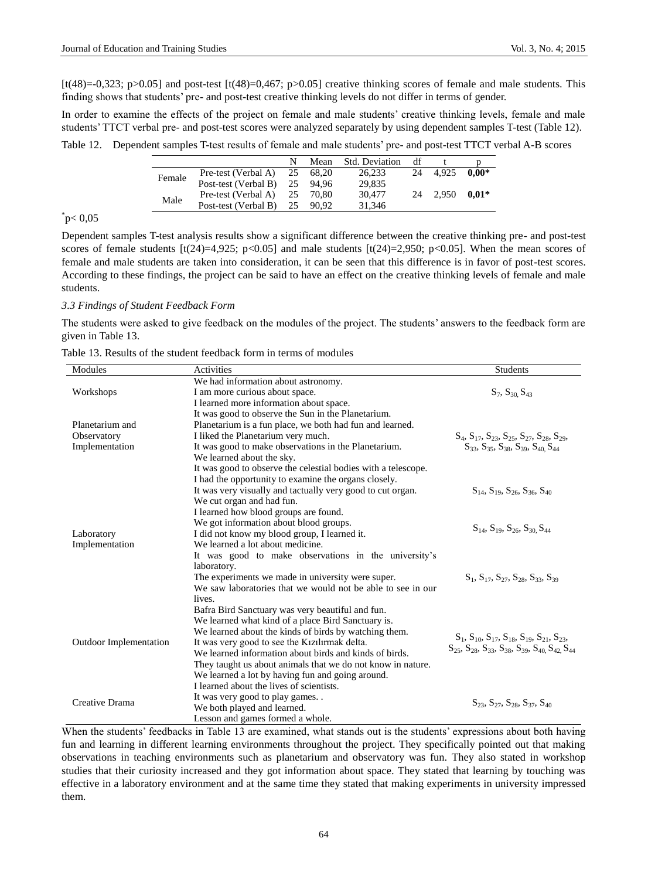$[t(48)=0,323; p>0.05]$  and post-test  $[t(48)=0,467; p>0.05]$  creative thinking scores of female and male students. This finding shows that students' pre- and post-test creative thinking levels do not differ in terms of gender.

In order to examine the effects of the project on female and male students' creative thinking levels, female and male students' TTCT verbal pre- and post-test scores were analyzed separately by using dependent samples T-test (Table 12).

Table 12. Dependent samples T-test results of female and male students' pre- and post-test TTCT verbal A-B scores

|        |                         |    | Mean  | <b>Std. Deviation</b> | df |       |         |
|--------|-------------------------|----|-------|-----------------------|----|-------|---------|
| Female | Pre-test (Verbal A)     | 25 | 68.20 | 26.233                | 24 | 4.925 | $0.00*$ |
|        | Post-test (Verbal B) 25 |    | 94.96 | 29.835                |    |       |         |
| Male   | Pre-test (Verbal A)     | 25 | 70.80 | 30,477                | 24 | 2.950 | $0.01*$ |
|        | Post-test (Verbal B)    | 25 | 90.92 | 31.346                |    |       |         |

# $_{\circ}^{*}$ p< 0,05

Dependent samples T-test analysis results show a significant difference between the creative thinking pre- and post-test scores of female students  $[t(24)=4,925; p<0.05]$  and male students  $[t(24)=2,950; p<0.05]$ . When the mean scores of female and male students are taken into consideration, it can be seen that this difference is in favor of post-test scores. According to these findings, the project can be said to have an effect on the creative thinking levels of female and male students.

## *3.3 Findings of Student Feedback Form*

The students were asked to give feedback on the modules of the project. The students' answers to the feedback form are given in Table 13.

Table 13. Results of the student feedback form in terms of modules

| Modules                       | Activities                                                    | <b>Students</b>                                                                                                                                                    |
|-------------------------------|---------------------------------------------------------------|--------------------------------------------------------------------------------------------------------------------------------------------------------------------|
|                               | We had information about astronomy.                           |                                                                                                                                                                    |
| Workshops                     | I am more curious about space.                                | $S_7, S_{30}$ , $S_{43}$                                                                                                                                           |
|                               | I learned more information about space.                       |                                                                                                                                                                    |
|                               | It was good to observe the Sun in the Planetarium.            |                                                                                                                                                                    |
| Planetarium and               | Planetarium is a fun place, we both had fun and learned.      |                                                                                                                                                                    |
| Observatory                   | I liked the Planetarium very much.                            | $S_4$ , $S_{17}$ , $S_{23}$ , $S_{25}$ , $S_{27}$ , $S_{28}$ , $S_{29}$ ,                                                                                          |
| Implementation                | It was good to make observations in the Planetarium.          | $S_{33}$ , $S_{35}$ , $S_{38}$ , $S_{39}$ , $S_{40}$ , $S_{44}$                                                                                                    |
|                               | We learned about the sky.                                     |                                                                                                                                                                    |
|                               | It was good to observe the celestial bodies with a telescope. |                                                                                                                                                                    |
|                               | I had the opportunity to examine the organs closely.          |                                                                                                                                                                    |
|                               | It was very visually and tactually very good to cut organ.    | $S_{14}$ , $S_{19}$ , $S_{26}$ , $S_{36}$ , $S_{40}$                                                                                                               |
|                               | We cut organ and had fun.                                     |                                                                                                                                                                    |
|                               | I learned how blood groups are found.                         |                                                                                                                                                                    |
|                               | We got information about blood groups.                        | $S_{14}$ , $S_{19}$ , $S_{26}$ , $S_{30}$ , $S_{44}$                                                                                                               |
| Laboratory                    | I did not know my blood group, I learned it.                  |                                                                                                                                                                    |
| Implementation                | We learned a lot about medicine.                              |                                                                                                                                                                    |
|                               | It was good to make observations in the university's          |                                                                                                                                                                    |
|                               | laboratory.                                                   |                                                                                                                                                                    |
|                               | The experiments we made in university were super.             | $S_1, S_{17}, S_{27}, S_{28}, S_{33}, S_{39}$                                                                                                                      |
|                               | We saw laboratories that we would not be able to see in our   |                                                                                                                                                                    |
|                               | lives.                                                        |                                                                                                                                                                    |
|                               | Bafra Bird Sanctuary was very beautiful and fun.              |                                                                                                                                                                    |
| <b>Outdoor Implementation</b> | We learned what kind of a place Bird Sanctuary is.            | $S_1$ , $S_{10}$ , $S_{17}$ , $S_{18}$ , $S_{19}$ , $S_{21}$ , $S_{23}$ ,<br>$S_{25}$ , $S_{28}$ , $S_{33}$ , $S_{38}$ , $S_{39}$ , $S_{40}$ , $S_{42}$ , $S_{44}$ |
|                               | We learned about the kinds of birds by watching them.         |                                                                                                                                                                    |
|                               | It was very good to see the Kizilirmak delta.                 |                                                                                                                                                                    |
|                               | We learned information about birds and kinds of birds.        |                                                                                                                                                                    |
|                               | They taught us about animals that we do not know in nature.   |                                                                                                                                                                    |
|                               | We learned a lot by having fun and going around.              |                                                                                                                                                                    |
| Creative Drama                | I learned about the lives of scientists.                      |                                                                                                                                                                    |
|                               | It was very good to play games                                | $S_{23}$ , $S_{27}$ , $S_{28}$ , $S_{37}$ , $S_{40}$                                                                                                               |
|                               | We both played and learned.                                   |                                                                                                                                                                    |
|                               | Lesson and games formed a whole.                              |                                                                                                                                                                    |

When the students' feedbacks in Table 13 are examined, what stands out is the students' expressions about both having fun and learning in different learning environments throughout the project. They specifically pointed out that making observations in teaching environments such as planetarium and observatory was fun. They also stated in workshop studies that their curiosity increased and they got information about space. They stated that learning by touching was effective in a laboratory environment and at the same time they stated that making experiments in university impressed them.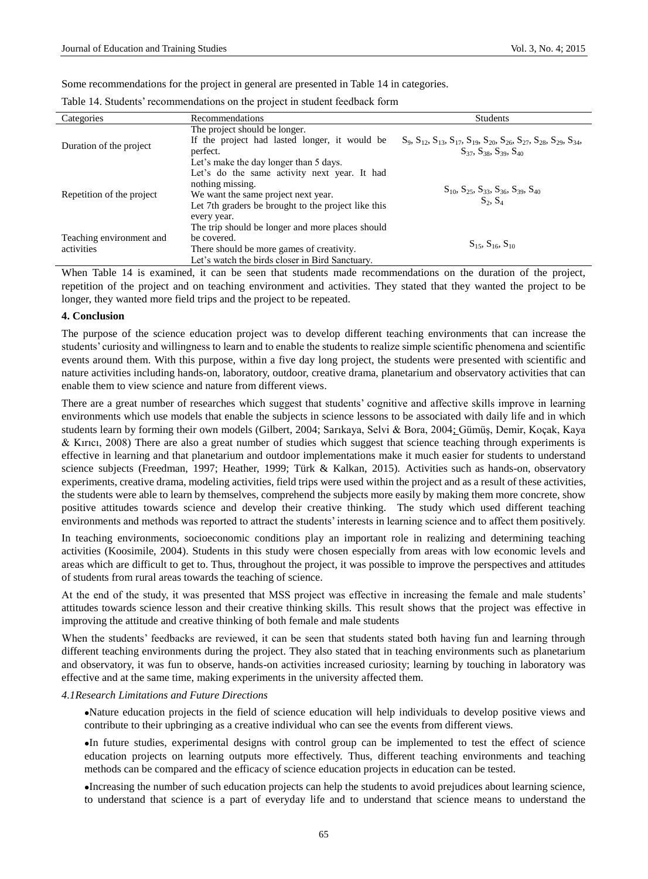Some recommendations for the project in general are presented in Table 14 in categories.

| Categories                             | Recommendations                                     | <b>Students</b>                                                                                                       |  |
|----------------------------------------|-----------------------------------------------------|-----------------------------------------------------------------------------------------------------------------------|--|
| Duration of the project                | The project should be longer.                       |                                                                                                                       |  |
|                                        | If the project had lasted longer, it would be       | $S_9$ , $S_{12}$ , $S_{13}$ , $S_{17}$ , $S_{19}$ , $S_{20}$ , $S_{26}$ , $S_{27}$ , $S_{28}$ , $S_{29}$ , $S_{34}$ , |  |
|                                        | perfect.                                            | $S_{37}$ , $S_{38}$ , $S_{39}$ , $S_{40}$                                                                             |  |
|                                        | Let's make the day longer than 5 days.              |                                                                                                                       |  |
| Repetition of the project              | Let's do the same activity next year. It had        | $S_{10}$ , $S_{25}$ , $S_{33}$ , $S_{36}$ , $S_{39}$ , $S_{40}$<br>$S_2, S_4$                                         |  |
|                                        | nothing missing.                                    |                                                                                                                       |  |
|                                        | We want the same project next year.                 |                                                                                                                       |  |
|                                        | Let 7th graders be brought to the project like this |                                                                                                                       |  |
|                                        | every year.                                         |                                                                                                                       |  |
| Teaching environment and<br>activities | The trip should be longer and more places should    |                                                                                                                       |  |
|                                        | be covered.                                         | $S_{15}$ , $S_{16}$ , $S_{10}$                                                                                        |  |
|                                        | There should be more games of creativity.           |                                                                                                                       |  |
|                                        | Let's watch the birds closer in Bird Sanctuary.     |                                                                                                                       |  |

When Table 14 is examined, it can be seen that students made recommendations on the duration of the project, repetition of the project and on teaching environment and activities. They stated that they wanted the project to be longer, they wanted more field trips and the project to be repeated.

## **4. Conclusion**

The purpose of the science education project was to develop different teaching environments that can increase the students' curiosity and willingness to learn and to enable the students to realize simple scientific phenomena and scientific events around them. With this purpose, within a five day long project, the students were presented with scientific and nature activities including hands-on, laboratory, outdoor, creative drama, planetarium and observatory activities that can enable them to view science and nature from different views.

There are a great number of researches which suggest that students' cognitive and affective skills improve in learning environments which use models that enable the subjects in science lessons to be associated with daily life and in which students learn by forming their own models (Gilbert, 2004; Sarıkaya, Selvi & Bora, 2004; Gümüş, Demir, Koçak, Kaya & Kırıcı, 2008) There are also a great number of studies which suggest that science teaching through experiments is effective in learning and that planetarium and outdoor implementations make it much easier for students to understand science subjects (Freedman, 1997; Heather, 1999; Türk & Kalkan, 2015). Activities such as hands-on, observatory experiments, creative drama, modeling activities, field trips were used within the project and as a result of these activities, the students were able to learn by themselves, comprehend the subjects more easily by making them more concrete, show positive attitudes towards science and develop their creative thinking. The study which used different teaching environments and methods was reported to attract the students' interests in learning science and to affect them positively.

In teaching environments, socioeconomic conditions play an important role in realizing and determining teaching activities [\(Koosimile, 2004\)](#page-10-4). Students in this study were chosen especially from areas with low economic levels and areas which are difficult to get to. Thus, throughout the project, it was possible to improve the perspectives and attitudes of students from rural areas towards the teaching of science.

At the end of the study, it was presented that MSS project was effective in increasing the female and male students' attitudes towards science lesson and their creative thinking skills. This result shows that the project was effective in improving the attitude and creative thinking of both female and male students

When the students' feedbacks are reviewed, it can be seen that students stated both having fun and learning through different teaching environments during the project. They also stated that in teaching environments such as planetarium and observatory, it was fun to observe, hands-on activities increased curiosity; learning by touching in laboratory was effective and at the same time, making experiments in the university affected them.

## *4.1Research Limitations and Future Directions*

Nature education projects in the field of science education will help individuals to develop positive views and contribute to their upbringing as a creative individual who can see the events from different views.

In future studies, experimental designs with control group can be implemented to test the effect of science education projects on learning outputs more effectively. Thus, different teaching environments and teaching methods can be compared and the efficacy of science education projects in education can be tested.

Increasing the number of such education projects can help the students to avoid prejudices about learning science, to understand that science is a part of everyday life and to understand that science means to understand the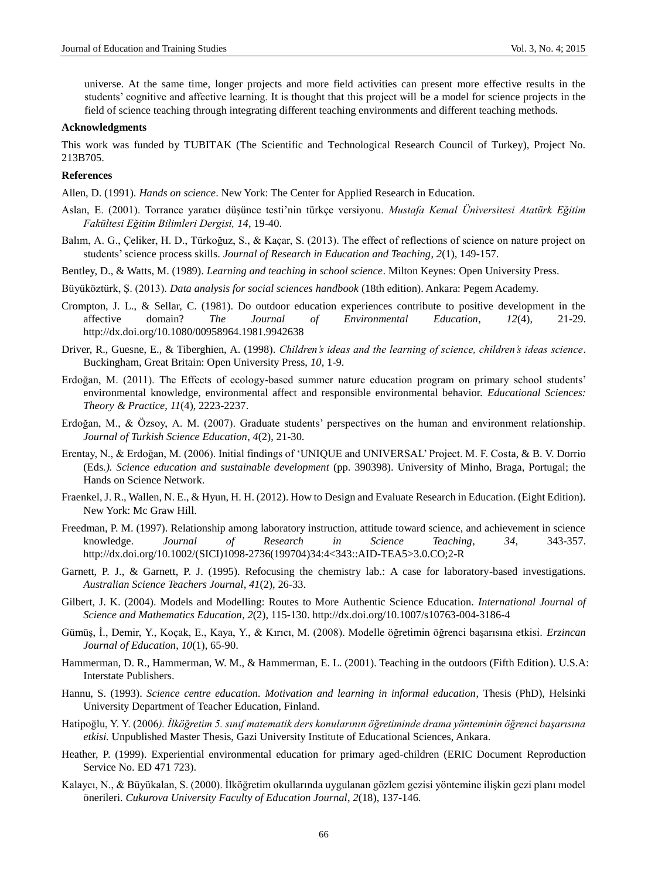universe. At the same time, longer projects and more field activities can present more effective results in the students' cognitive and affective learning. It is thought that this project will be a model for science projects in the field of science teaching through integrating different teaching environments and different teaching methods.

#### **Acknowledgments**

This work was funded by TUBITAK (The Scientific and Technological Research Council of Turkey), Project No. 213B705.

#### **References**

Allen, D. (1991). *Hands on science*. New York: The Center for Applied Research in Education.

- Aslan, E. (2001). Torrance yaratıcı düşünce testi'nin türkçe versiyonu. *Mustafa Kemal Üniversitesi Atatürk Eğitim Fakültesi Eğitim Bilimleri Dergisi, 14*, 19-40.
- Balım, A. G., Çeliker, H. D., Türkoğuz, S., & Kaçar, S. (2013). The effect of reflections of science on nature project on students'science process skills. *Journal of Research in Education and Teaching*, *2*(1), 149-157.
- Bentley, D., & Watts, M. (1989). *Learning and teaching in school science*. Milton Keynes: Open University Press.
- <span id="page-9-2"></span>Büyüköztürk, Ş. (2013). *Data analysis for social sciences handbook* (18th edition). Ankara: Pegem Academy.
- Crompton, J. L., & Sellar, C. (1981). Do outdoor education experiences contribute to positive development in the affective domain? *The Journal of Environmental Education*, *12*(4), 21-29. http://dx.doi.org/10.1080/00958964.1981.9942638
- Driver, R., Guesne, E., & Tiberghien, A. (1998). *Children's ideas and the learning of science, children's ideas science*. Buckingham, Great Britain: Open University Press, *10*, 1-9.
- <span id="page-9-0"></span>Erdoğan, M. (2011). The Effects of ecology-based summer nature education program on primary school students' environmental knowledge, environmental affect and responsible environmental behavior. *Educational Sciences: Theory & Practice*, *11*(4), 2223-2237.
- Erdoğan, M., & Özsoy, A. M. (2007). Graduate students' perspectives on the human and environment relationship. *Journal of Turkish Science Education*, *4*(2), 21-30.
- <span id="page-9-1"></span>Erentay, N., & Erdoğan, M. (2006). Initial findings of 'UNIQUE and UNIVERSAL' Project. M. F. Costa, & B. V. Dorrio (Eds*.). Science education and sustainable development* (pp. 390398). University of Minho, Braga, Portugal; the Hands on Science Network.
- Fraenkel, J. R., Wallen, N. E., & Hyun, H. H. (2012). How to Design and Evaluate Research in Education. (Eight Edition). New York: Mc Graw Hill.
- Freedman, P. M. (1997). Relationship among laboratory instruction, attitude toward science, and achievement in science knowledge. *Journal of Research in Science Teaching*, *34*, 343-357. http://dx.doi.org/10.1002/(SICI)1098-2736(199704)34:4<343::AID-TEA5>3.0.CO;2-R
- Garnett, P. J., & Garnett, P. J. (1995). Refocusing the chemistry lab.: A case for laboratory-based investigations. *Australian Science Teachers Journal*, *41*(2), 26-33.
- Gilbert, J. K. (2004). Models and Modelling: Routes to More Authentic Science Education. *International Journal of Science and Mathematics Education*, *2*(2), 115-130. http://dx.doi.org/10.1007/s10763-004-3186-4
- Gümüş, İ., Demir, Y., Koçak, E., Kaya, Y., & Kırıcı, M. (2008). Modelle öğretimin öğrenci başarısına etkisi. *Erzincan Journal of Education*, *10*(1), 65-90.
- Hammerman, D. R., Hammerman, W. M., & Hammerman, E. L. (2001). Teaching in the outdoors (Fifth Edition). U.S.A: Interstate Publishers.
- Hannu, S. (1993). *Science centre education. Motivation and learning in informal education*, Thesis (PhD), Helsinki University Department of Teacher Education, Finland.
- Hatipoğlu, Y. Y. (2006*). İlköğretim 5. sınıf matematik ders konularının öğretiminde drama yönteminin öğrenci başarısına etkisi.* Unpublished Master Thesis, Gazi University Institute of Educational Sciences, Ankara.
- Heather, P. (1999). Experiential environmental education for primary aged-children (ERIC Document Reproduction Service No. ED 471 723).
- Kalaycı, N., & Büyükalan, S. (2000). İlköğretim okullarında uygulanan gözlem gezisi yöntemine ilişkin gezi planı model önerileri. *Cukurova University Faculty of Education Journal*, *2*(18), 137-146.